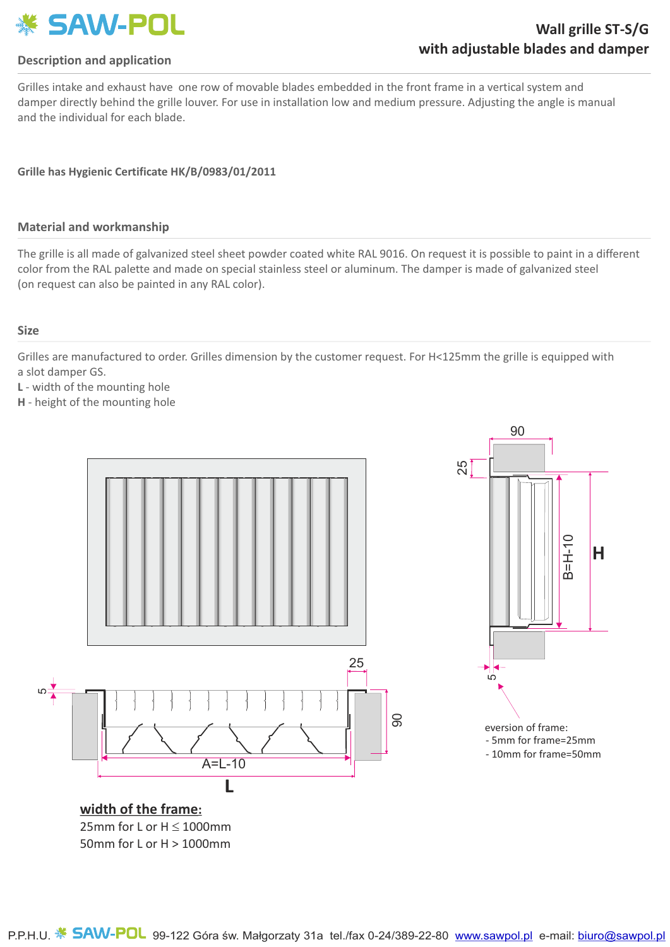

### **Description and application**

Grilles intake and exhaust have one row of movable blades embedded in the front frame in a vertical system and damper directly behind the grille louver. For use in installation low and medium pressure. Adjusting the angle is manual and the individual for each blade.

### **Grille has Hygienic Certificate HK/B/0983/01/2011**

#### **Material and workmanship**

The grille is all made of galvanized steel sheet powder coated white RAL 9016. On request it is possible to paint in a different color from the RAL palette and made on special stainless steel or aluminum. The damper is made of galvanized steel (on request can also be painted in any RAL color).

#### **Size**

Grilles are manufactured to order. Grilles dimension by the customer request. For H<125mm the grille is equipped with a slot damper GS.

**L** - width of the mounting hole

**H** - height of the mounting hole

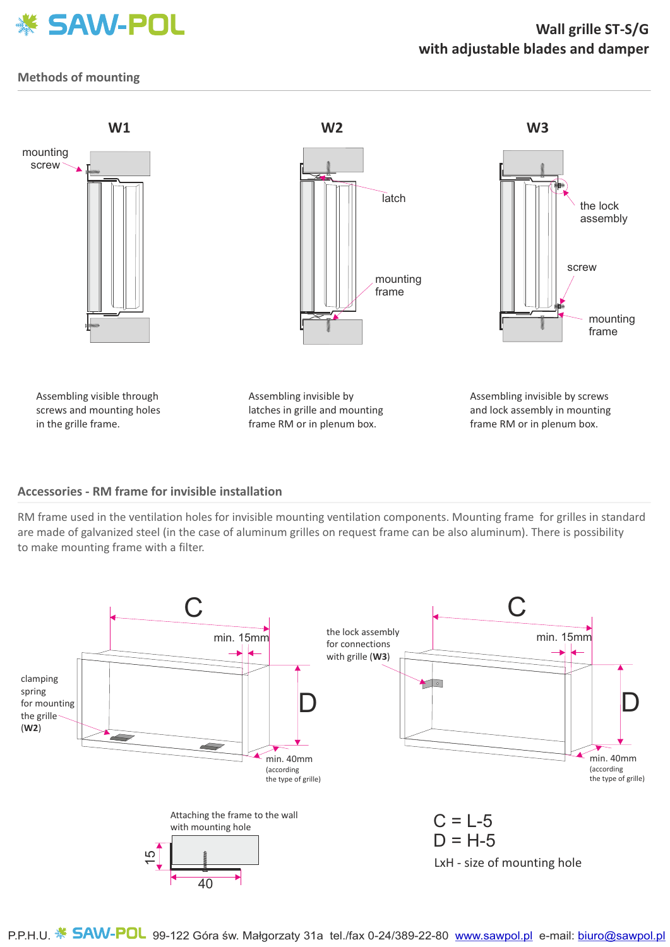

## **Wall grille ST-S/Gwith adjustable blades and damper**

### **Methods of mounting**



#### **Accessories - RM frame for invisible installation**

RM frame used in the ventilation holes for invisible mounting ventilation components. Mounting frame for grilles in standard are made of galvanized steel (in the case of aluminum grilles on request frame can be also aluminum). There is possibility to make mounting frame with a filter.



P.P.H.U. **5AW-POL** 99-122 Góra św. Małgorzaty 31a tel./fax 0-24/389-22-80 www.sawpol.pl e-mail: biuro@sawpol.pl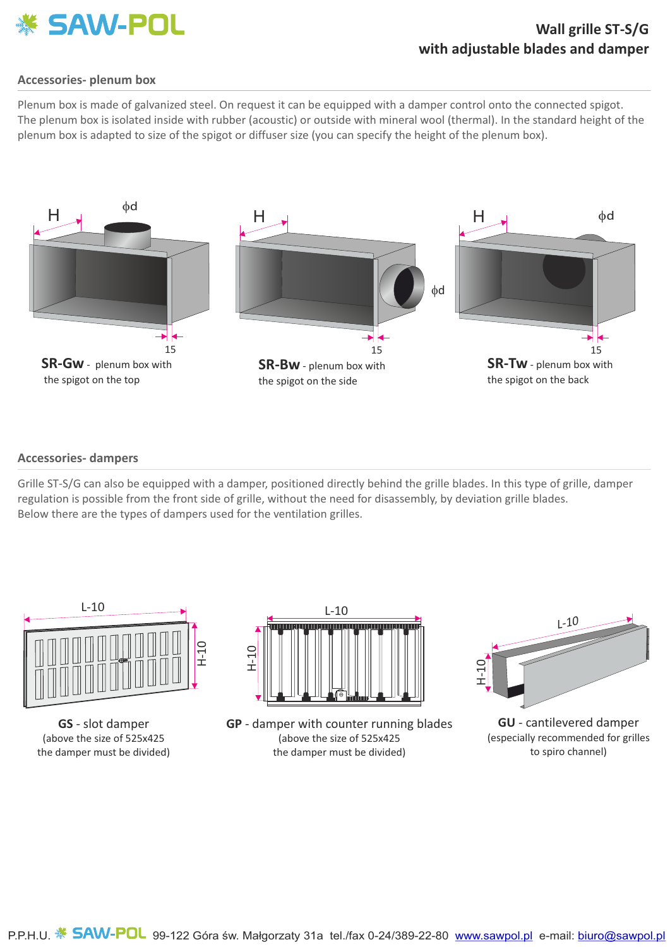

### **Wall grille ST-S/Gwith adjustable blades and damper**

#### **Accessories- plenum box**

Plenum box is made of galvanized steel. On request it can be equipped with a damper control onto the connected spigot. The plenum box is isolated inside with rubber (acoustic) or outside with mineral wool (thermal). In the standard height of the plenum box is adapted to size of the spigot or diffuser size (you can specify the height of the plenum box).



#### **Accessories- dampers**

Grille ST-S/G can also be equipped with a damper, positioned directly behind the grille blades. In this type of grille, damper regulation is possible from the front side of grille, without the need for disassembly, by deviation grille blades. Below there are the types of dampers used for the ventilation grilles.



**GS** - slot damper (above the size of 525x425 the damper must be divided)



**GP** - damper with counter running blades (above the size of 525x425 the damper must be divided)



**GU** - cantilevered damper (especially recommended for grilles to spiro channel)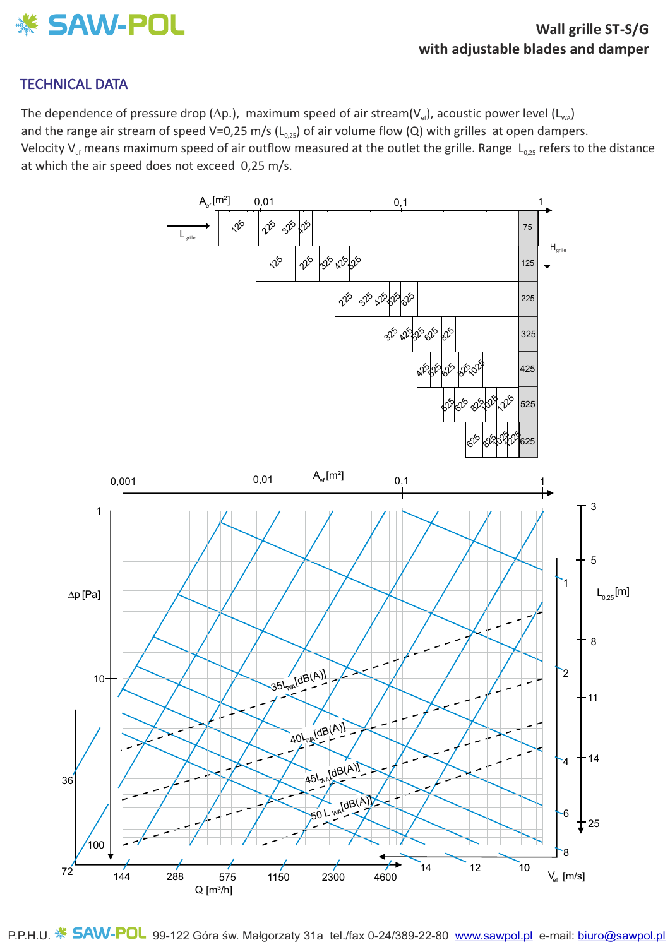

## TECHNICAL DATA

The dependence of pressure drop ( $\Delta p$ .), maximum speed of air stream( $V_{ef}$ ), acoustic power level ( $L_{wa}$ ) and the range air stream of speed V=0,25 m/s ( $L_{0.25}$ ) of air volume flow (Q) with grilles at open dampers. Velocity V<sub>ef</sub> means maximum speed of air outflow measured at the outlet the grille. Range  $L_{0.25}$  refers to the distance at which the air speed does not exceed 0,25 m/s.



P.P.H.U. **5AW-POL** 99-122 Góra św. Małgorzaty 31a tel./fax 0-24/389-22-80 www.sawpol.pl e-mail: biuro@sawpol.pl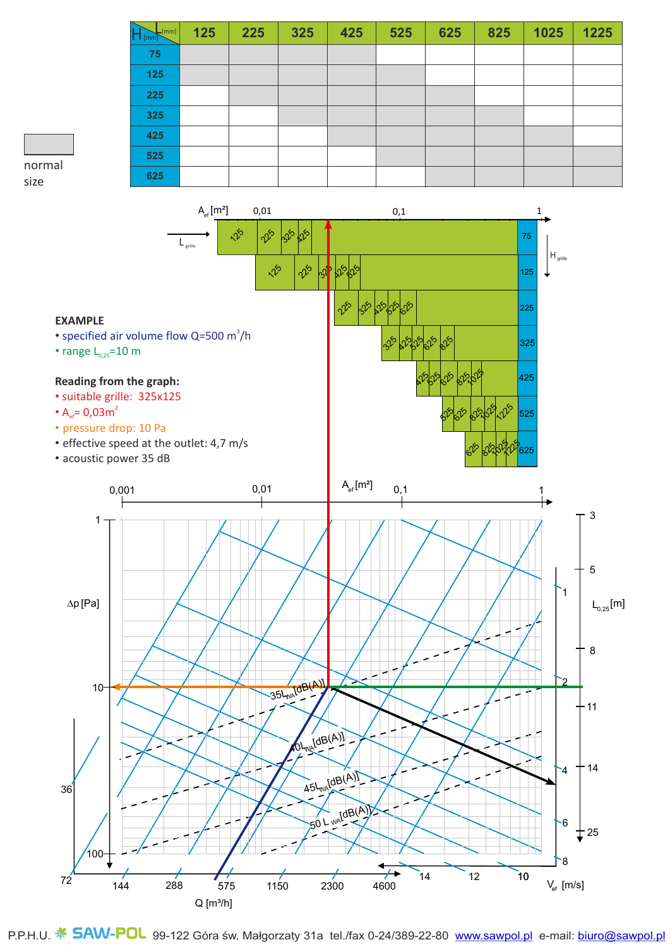| $\sqrt{[mm]}$ | 125 | 225 | 325 | 425 | 525 | 625 | 825 | 1025 | 1225 |
|---------------|-----|-----|-----|-----|-----|-----|-----|------|------|
| 75            |     |     |     |     |     |     |     |      |      |
| 125           |     |     |     |     |     |     |     |      |      |
| 225           |     |     |     |     |     |     |     |      |      |
| 325           |     |     |     |     |     |     |     |      |      |
| 425           |     |     |     |     |     |     |     |      |      |
| 525           |     |     |     |     |     |     |     |      |      |
| 625           |     |     |     |     |     |     |     |      |      |

# normal size



P.P.H.U. **5AW-POL** 99-122 Góra św. Małgorzaty 31a tel./fax 0-24/389-22-80 www.sawpol.pl e-mail: biuro@sawpol.pl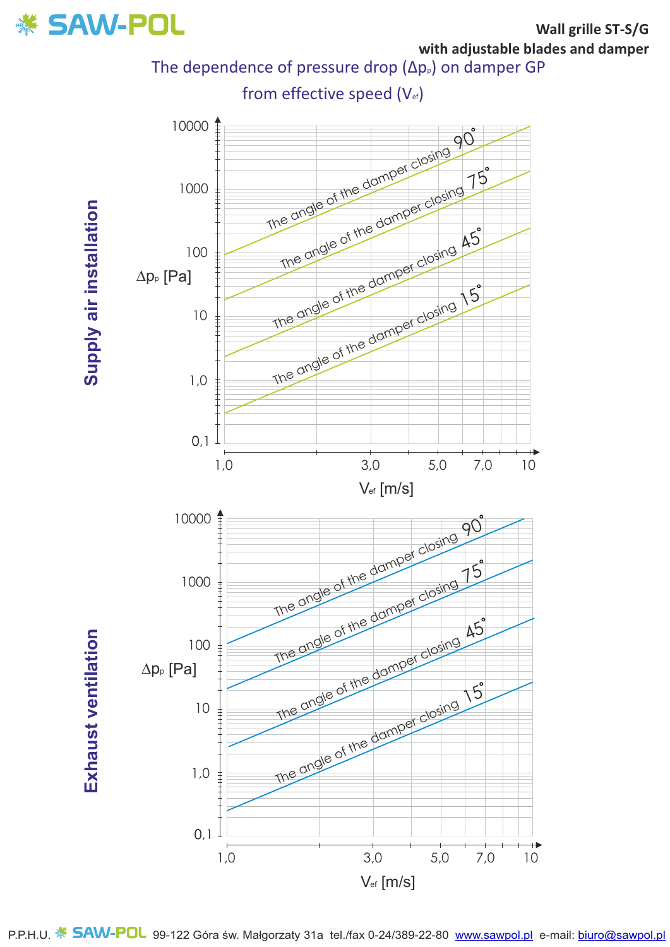

The dependence of pressure drop ( $\Delta p_{p}$ ) on damper GP



Supply air installation **Supply air installation**

**Exhaust ventilation Exhaust ventilation**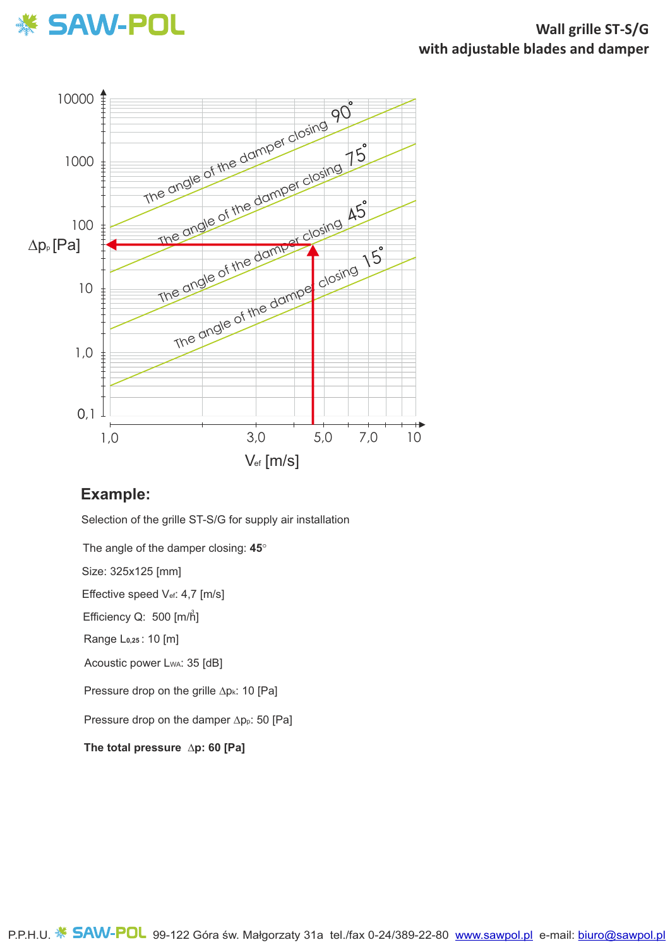



# **Example:**

Selection of the grille ST-S/G for supply air installation

The angle of the damper closing: **45**°

Size: 325x125 [mm]

Effective speed V<sub>ef</sub>: 4,7 [m/s]

Efficiency Q: 500 [m/h<sup>3</sup>]

Range L**0,25** : 10 [m]

Acoustic power LwA: 35 [dB]

Pressure drop on the grille  $\Delta p_k$ : 10 [Pa]

Pressure drop on the damper  $\Delta p_p$ : 50 [Pa]

**The total pressure ∆p: 60 [Pa]**